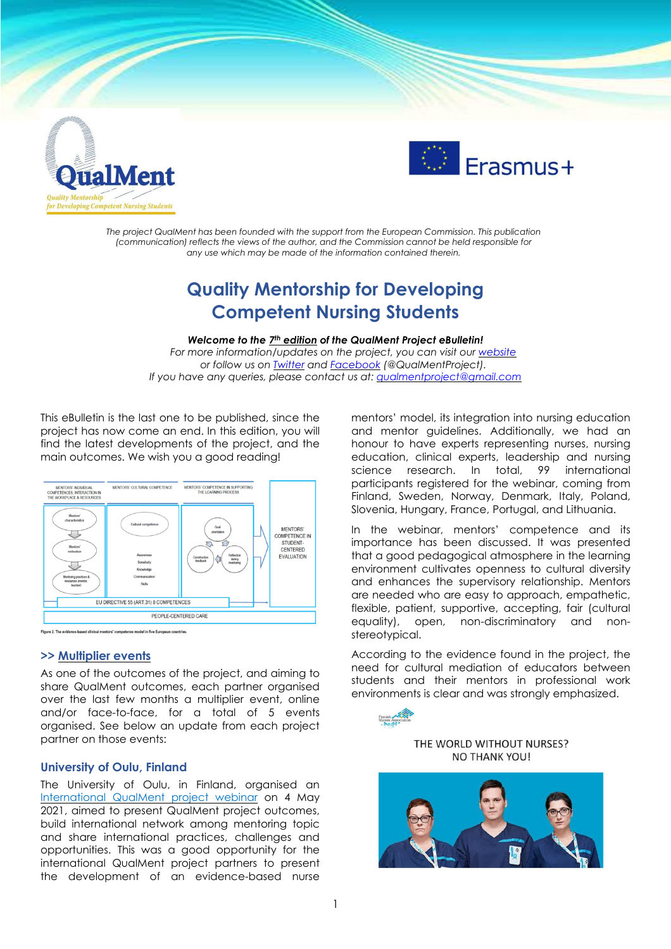



*The project QualMent has been founded with the support from the European Commission. This publication (communication) reflects the views of the author, and the Commission cannot be held responsible for any use which may be made of the information contained therein.*

# **Quality Mentorship for Developing Competent Nursing Students**

#### *Welcome to the 7 th edition of the QualMent Project eBulletin!*

*For more information/updates on the project, you can visit our [website](http://www.qualment.be/) or follow us on [Twitter](https://twitter.com/QualMentProject) and [Facebook](https://www.facebook.com/QualMentProject/) (@QualMentProject). If you have any queries, please contact us at: [qualmentproject@gmail.com](mailto:qualmentproject@gmail.com)*

This eBulletin is the last one to be published, since the project has now come an end. In this edition, you will find the latest developments of the project, and the main outcomes. We wish you a good reading!



#### **>> Multiplier events**

As one of the outcomes of the project, and aiming to share QualMent outcomes, each partner organised over the last few months a multiplier event, online and/or face-to-face, for a total of 5 events organised. See below an update from each project partner on those events:

## **University of Oulu, Finland**

The University of Oulu, in Finland, organised an [International](https://www.oulu.fi/sites/default/files/events/QualMent%20seminar%20%281%29.pdf) QualMent project webinar on 4 May 2021, aimed to present QualMent project outcomes, build international network among mentoring topic and share international practices, challenges and opportunities. This was a good opportunity for the international QualMent project partners to present the development of an evidence-based nurse

mentors' model, its integration into nursing education and mentor guidelines. Additionally, we had an honour to have experts representing nurses, nursing education, clinical experts, leadership and nursing science research. In total, 99 international participants registered for the webinar, coming from Finland, Sweden, Norway, Denmark, Italy, Poland, Slovenia, Hungary, France, Portugal, and Lithuania.

In the webinar, mentors' competence and its importance has been discussed. It was presented that a good pedagogical atmosphere in the learning environment cultivates openness to cultural diversity and enhances the supervisory relationship. Mentors are needed who are easy to approach, empathetic, flexible, patient, supportive, accepting, fair (cultural equality), open, non-discriminatory and nonstereotypical.

According to the evidence found in the project, the need for cultural mediation of educators between students and their mentors in professional work environments is clear and was strongly emphasized.



## THE WORLD WITHOUT NURSES? **NO THANK YOU!**

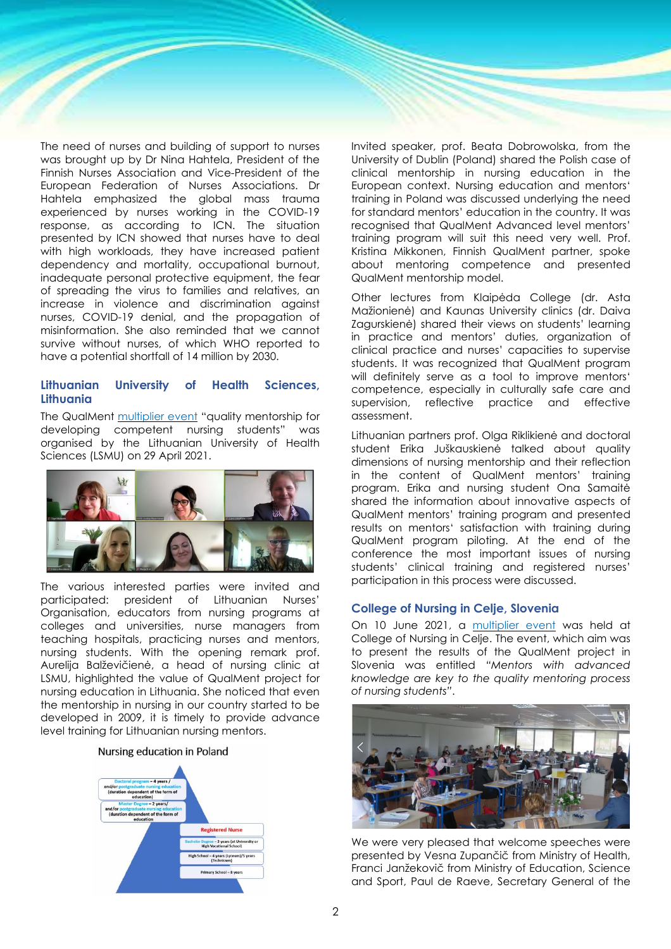The need of nurses and building of support to nurses was brought up by Dr Nina Hahtela, President of the Finnish Nurses Association and Vice-President of the European Federation of Nurses Associations. Dr Hahtela emphasized the global mass trauma experienced by nurses working in the COVID-19 response, as according to ICN. The situation presented by ICN showed that nurses have to deal with high workloads, they have increased patient dependency and mortality, occupational burnout, inadequate personal protective equipment, the fear of spreading the virus to families and relatives, an increase in violence and discrimination against nurses, COVID-19 denial, and the propagation of misinformation. She also reminded that we cannot survive without nurses, of which WHO reported to have a potential shortfall of 14 million by 2030.

# **Lithuanian University of Health Sciences, Lithuania**

The QualMent [multiplier](https://www.qualment.eu/multiplier-event-29-april-2021-kaunas-lithuania/) event "quality mentorship for developing competent nursing students" was organised by the Lithuanian University of Health Sciences (LSMU) on 29 April 2021.



The various interested parties were invited and participated: president of Lithuanian Nurses' Organisation, educators from nursing programs at colleges and universities, nurse managers from teaching hospitals, practicing nurses and mentors, nursing students. With the opening remark prof. Aurelija Balževičienė, a head of nursing clinic at LSMU, highlighted the value of QualMent project for nursing education in Lithuania. She noticed that even the mentorship in nursing in our country started to be developed in 2009, it is timely to provide advance level training for Lithuanian nursing mentors.

#### Nursing education in Poland



Invited speaker, prof. Beata Dobrowolska, from the University of Dublin (Poland) shared the Polish case of clinical mentorship in nursing education in the European context. Nursing education and mentors' training in Poland was discussed underlying the need for standard mentors' education in the country. It was recognised that QualMent Advanced level mentors' training program will suit this need very well. Prof. Kristina Mikkonen, Finnish QualMent partner, spoke about mentoring competence and presented QualMent mentorship model.

Other lectures from Klaipėda College (dr. Asta Mažionienė) and Kaunas University clinics (dr. Daiva Zagurskienė) shared their views on students' learning in practice and mentors' duties, organization of clinical practice and nurses' capacities to supervise students. It was recognized that QualMent program will definitely serve as a tool to improve mentors' competence, especially in culturally safe care and supervision, reflective practice and effective assessment.

Lithuanian partners prof. Olga Riklikienė and doctoral student Erika Juškauskienė talked about quality dimensions of nursing mentorship and their reflection in the content of QualMent mentors' training program. Erika and nursing student Ona Samaitė shared the information about innovative aspects of QualMent mentors' training program and presented results on mentors' satisfaction with training during QualMent program piloting. At the end of the conference the most important issues of nursing students' clinical training and registered nurses' participation in this process were discussed.

#### **College of Nursing in Celje, Slovenia**

On 10 June 2021, a [multiplier](https://www.qualment.eu/multiplier-event-10-june-2021-celje-slovenia/) event was held at College of Nursing in Celje. The event, which aim was to present the results of the QualMent project in Slovenia was entitled *"Mentors with advanced knowledge are key to the quality mentoring process of nursing students"*.



We were very pleased that welcome speeches were presented by Vesna Zupančič from Ministry of Health, Franci Janžekovič from Ministry of Education, Science and Sport, Paul de Raeve, Secretary General of the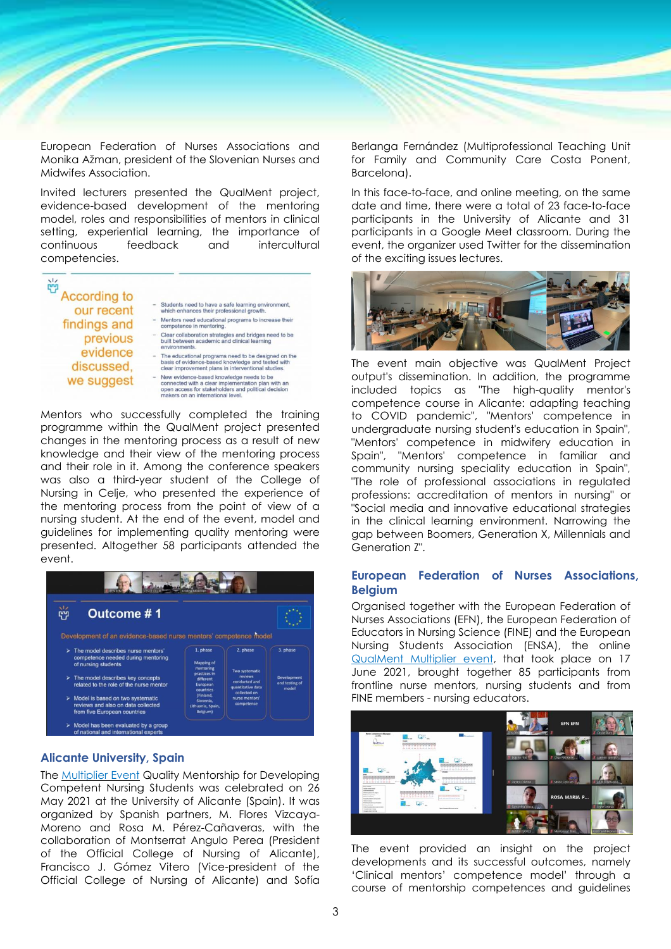

European Federation of Nurses Associations and Monika Ažman, president of the Slovenian Nurses and Midwifes Association.

Invited lecturers presented the QualMent project, evidence-based development of the mentoring model, roles and responsibilities of mentors in clinical setting, experiential learning, the importance of continuous feedback and intercultural competencies.



Mentors who successfully completed the training programme within the QualMent project presented changes in the mentoring process as a result of new knowledge and their view of the mentoring process and their role in it. Among the conference speakers was also a third-year student of the College of Nursing in Celje, who presented the experience of the mentoring process from the point of view of a nursing student. At the end of the event, model and guidelines for implementing quality mentoring were presented. Altogether 58 participants attended the event.



## **Alicante University, Spain**

The [Multiplier](https://www.qualment.eu/multiplier-event-26-may-2021-alicante-spain/) Event Quality Mentorship for Developing Competent Nursing Students was celebrated on 26 May 2021 at the University of Alicante (Spain). It was organized by Spanish partners, M. Flores Vizcaya-Moreno and Rosa M. Pérez-Cañaveras, with the collaboration of Montserrat Angulo Perea (President of the Official College of Nursing of Alicante), Francisco J. Gómez Vitero (Vice-president of the Official College of Nursing of Alicante) and Sofía Berlanga Fernández (Multiprofessional Teaching Unit for Family and Community Care Costa Ponent, Barcelona).

In this face-to-face, and online meeting, on the same date and time, there were a total of 23 face-to-face participants in the University of Alicante and 31 participants in a Google Meet classroom. During the event, the organizer used Twitter for the dissemination of the exciting issues lectures.



The event main objective was QualMent Project output's dissemination. In addition, the programme included topics as "The high-quality mentor's competence course in Alicante: adapting teaching to COVID pandemic", "Mentors' competence in undergraduate nursing student's education in Spain", "Mentors' competence in midwifery education in Spain", "Mentors' competence in familiar and community nursing speciality education in Spain", "The role of professional associations in regulated professions: accreditation of mentors in nursing" or "Social media and innovative educational strategies in the clinical learning environment. Narrowing the gap between Boomers, Generation X, Millennials and Generation Z".

### **European Federation of Nurses Associations, Belgium**

Organised together with the European Federation of Nurses Associations (EFN), the European Federation of Educators in Nursing Science (FINE) and the European Nursing Students Association (ENSA), the online [QualMent](https://www.qualment.eu/multiplier-event-17-june-2021-online-brussels/) Multiplier event, that took place on 17 June 2021, brought together 85 participants from frontline nurse mentors, nursing students and from FINE members - nursing educators.



The event provided an insight on the project developments and its successful outcomes, namely 'Clinical mentors' competence model' through a course of mentorship competences and guidelines